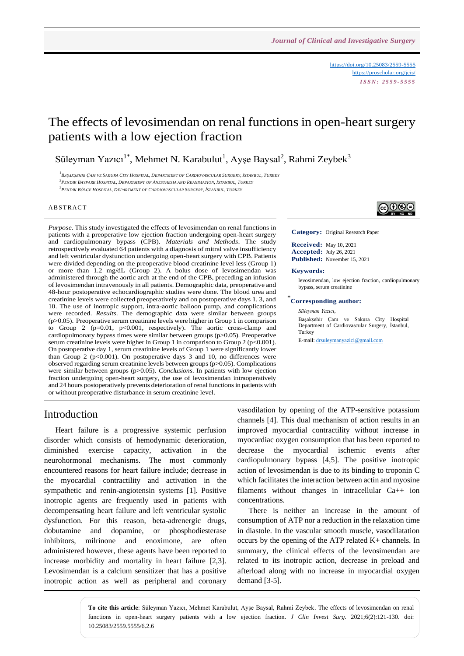<https://doi.org/10.25083/2559-5555> <https://proscholar.org/jcis/> *I S S N : 2 5 5 9 - 5 5 5 5*

# The effects of levosimendan on renal functions in open-heart surgery patients with a low ejection fraction

Süleyman Yazıcı<sup>1\*</sup>, Mehmet N. Karabulut<sup>1</sup>, Ayşe Baysal<sup>2</sup>, Rahmi Zeybek<sup>3</sup>

<sup>1</sup>Başakşehir Çam ve Sakura City Hospital, Department of Cardiovascular Surgery, İstanbul, Turkey 2 *PENDIK BAYPARK HOSPITAL, DEPARTMENT OF ANESTHESIA AND REANIMATION, İSTANBUL, TURKEY*

3 *PENDIK BÖLGE HOSPITAL, DEPARTMENT OF CARDIOVASCULAR SURGERY, İSTANBUL, TURKEY*

#### **ABSTRACT**

*Purpose*. This study investigated the effects of levosimendan on renal functions in patients with a preoperative low ejection fraction undergoing open-heart surgery and cardiopulmonary bypass (CPB). *Materials and Methods*. The study retrospectively evaluated 64 patients with a diagnosis of mitral valve insufficiency and left ventricular dysfunction undergoing open-heart surgery with CPB. Patients were divided depending on the preoperative blood creatinine level less (Group 1) or more than 1.2 mg/dL (Group 2). A bolus dose of levosimendan was administered through the aortic arch at the end of the CPB, preceding an infusion of levosimendan intravenously in all patients. Demographic data, preoperative and 48-hour postoperative echocardiographic studies were done. The blood urea and creatinine levels were collected preoperatively and on postoperative days 1, 3, and 10. The use of inotropic support, intra-aortic balloon pump, and complications were recorded. *Results*. The demographic data were similar between groups (p>0.05). Preoperative serum creatinine levels were higher in Group 1 in comparison to Group 2 (p=0.01, p<0.001, respectively). The aortic cross-clamp and cardiopulmonary bypass times were similar between groups (p>0.05). Preoperative serum creatinine levels were higher in Group 1 in comparison to Group 2 (p<0.001). On postoperative day 1, serum creatinine levels of Group 1 were significantly lower than Group 2 ( $p<0.001$ ). On postoperative days 3 and 10, no differences were observed regarding serum creatinine levels between groups (p>0.05). Complications were similar between groups (p>0.05). *Conclusions*. In patients with low ejection fraction undergoing open-heart surgery, the use of levosimendan intraoperatively and 24 hours postoperatively prevents deterioration of renal functions in patients with or without preoperative disturbance in serum creatinine level.



**Category:** Original Research Paper

**Received:** May 10, 2021 **Accepted:** July 26, 2021 **Published:** November 15, 2021

#### **Keywords:**

levosimendan, low ejection fraction, cardiopulmonary bypass, serum creatinine

\* **Corresponding author:**

#### *Süleyman Yazıcı,*

Başakşehir Çam ve Sakura City Hospital Department of Cardiovascular Surgery, İstanbul, Turkey

E-mail: [drsuleymanyazici@gmail.com](mailto:drsuleymanyazici@gmail.com)

### Introduction

Heart failure is a progressive systemic perfusion disorder which consists of hemodynamic deterioration, diminished exercise capacity, activation in the neurohormonal mechanisms. The most commonly encountered reasons for heart failure include; decrease in the myocardial contractility and activation in the sympathetic and renin-angiotensin systems [1]. Positive inotropic agents are frequently used in patients with decompensating heart failure and left ventricular systolic dysfunction. For this reason, beta-adrenergic drugs, dobutamine and dopamine, or phosphodiesterase inhibitors, milrinone and enoximone, are often administered however, these agents have been reported to increase morbidity and mortality in heart failure [2,3]. Levosimendan is a calcium sensitizer that has a positive inotropic action as well as peripheral and coronary

vasodilation by opening of the ATP-sensitive potassium channels [4]. This dual mechanism of action results in an improved myocardial contractility without increase in myocardiac oxygen consumption that has been reported to decrease the myocardial ischemic events after cardiopulmonary bypass [4,5]. The positive inotropic action of levosimendan is due to its binding to troponin C which facilitates the interaction between actin and myosine filaments without changes in intracellular Ca++ ion concentrations.

There is neither an increase in the amount of consumption of ATP nor a reduction in the relaxation time in diastole. In the vascular smooth muscle, vasodilatation occurs by the opening of the ATP related K+ channels. In summary, the clinical effects of the levosimendan are related to its inotropic action, decrease in preload and afterload along with no increase in myocardial oxygen demand [3-5].

**To cite this article**: Süleyman Yazıcı, Mehmet Karabulut, Ayşe Baysal, Rahmi Zeybek. The effects of levosimendan on renal functions in open-heart surgery patients with a low ejection fraction. *J Clin Invest Surg*. 2021;6(2):121-130. doi: 10.25083/2559.5555/6.2.6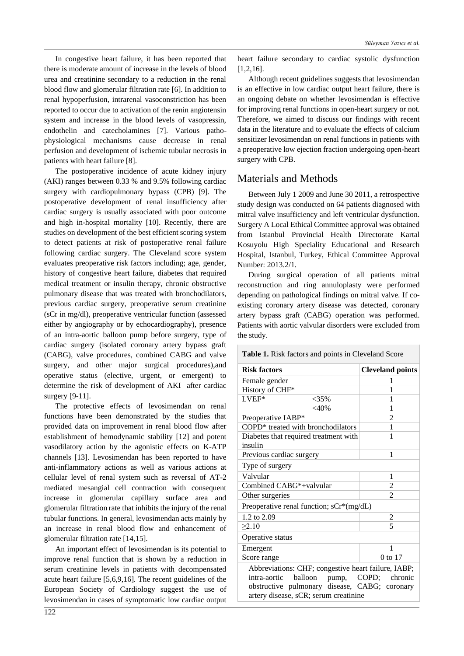In congestive heart failure, it has been reported that there is moderate amount of increase in the levels of blood urea and creatinine secondary to a reduction in the renal blood flow and glomerular filtration rate [6]. In addition to renal hypoperfusion, intrarenal vasoconstriction has been reported to occur due to activation of the renin angiotensin system and increase in the blood levels of vasopressin, endothelin and catecholamines [7]. Various pathophysiological mechanisms cause decrease in renal perfusion and development of ischemic tubular necrosis in patients with heart failure [8].

The postoperative incidence of acute kidney injury (AKI) ranges between 0.33 % and 9.5% following cardiac surgery with cardiopulmonary bypass (CPB) [9]. The postoperative development of renal insufficiency after cardiac surgery is usually associated with poor outcome and high in-hospital mortality [10]. Recently, there are studies on development of the best efficient scoring system to detect patients at risk of postoperative renal failure following cardiac surgery. The Cleveland score system evaluates preoperative risk factors including; age, gender, history of congestive heart failure, diabetes that required medical treatment or insulin therapy, chronic obstructive pulmonary disease that was treated with bronchodilators, previous cardiac surgery, preoperative serum creatinine (sCr in mg/dl), preoperative ventricular function (assessed either by angiography or by echocardiography), presence of an intra-aortic balloon pump before surgery, type of cardiac surgery (isolated coronary artery bypass graft (CABG), valve procedures, combined CABG and valve surgery, and other major surgical procedures),and operative status (elective, urgent, or emergent) to determine the risk of development of AKI after cardiac surgery [9-11].

The protective effects of levosimendan on renal functions have been demonstrated by the studies that provided data on improvement in renal blood flow after establishment of hemodynamic stability [12] and potent vasodilatory action by the agonistic effects on K-ATP channels [13]. Levosimendan has been reported to have anti-inflammatory actions as well as various actions at cellular level of renal system such as reversal of AT-2 mediated mesangial cell contraction with consequent increase in glomerular capillary surface area and glomerular filtration rate that inhibits the injury of the renal tubular functions. In general, levosimendan acts mainly by an increase in renal blood flow and enhancement of glomerular filtration rate [14,15].

An important effect of levosimendan is its potential to improve renal function that is shown by a reduction in serum creatinine levels in patients with decompensated acute heart failure [5,6,9,16]. The recent guidelines of the European Society of Cardiology suggest the use of levosimendan in cases of symptomatic low cardiac output heart failure secondary to cardiac systolic dysfunction [1,2,16].

Although recent guidelines suggests that levosimendan is an effective in low cardiac output heart failure, there is an ongoing debate on whether levosimendan is effective for improving renal functions in open-heart surgery or not. Therefore, we aimed to discuss our findings with recent data in the literature and to evaluate the effects of calcium sensitizer levosimendan on renal functions in patients with a preoperative low ejection fraction undergoing open-heart surgery with CPB.

# Materials and Methods

Between July 1 2009 and June 30 2011, a retrospective study design was conducted on 64 patients diagnosed with mitral valve insufficiency and left ventricular dysfunction. Surgery A Local Ethical Committee approval was obtained from Istanbul Provincial Health Directorate Kartal Kosuyolu High Speciality Educational and Research Hospital, Istanbul, Turkey, Ethical Committee Approval Number: 2013.2/1.

During surgical operation of all patients mitral reconstruction and ring annuloplasty were performed depending on pathological findings on mitral valve. If coexisting coronary artery disease was detected, coronary artery bypass graft (CABG) operation was performed. Patients with aortic valvular disorders were excluded from the study.

**Table 1.** Risk factors and points in Cleveland Score

| <b>Risk factors</b>                                 |         | <b>Cleveland points</b> |  |
|-----------------------------------------------------|---------|-------------------------|--|
| Female gender                                       |         | 1                       |  |
| History of CHF*                                     |         | 1                       |  |
| LVEF*                                               | $<$ 35% | 1                       |  |
|                                                     | $<$ 40% | 1                       |  |
| Preoperative IABP*                                  |         | $\overline{c}$          |  |
| COPD* treated with bronchodilators                  |         | 1                       |  |
| Diabetes that required treatment with<br>insulin    |         | 1                       |  |
| Previous cardiac surgery                            |         | 1                       |  |
| Type of surgery                                     |         |                         |  |
| Valvular                                            |         | 1                       |  |
| Combined CABG*+valvular                             |         | $\mathfrak{2}$          |  |
| Other surgeries                                     |         | $\overline{2}$          |  |
| Preoperative renal function; sCr*(mg/dL)            |         |                         |  |
| 1.2 to 2.09                                         |         | $\overline{\mathbf{c}}$ |  |
| $\geq 2.10$                                         |         | 5                       |  |
| Operative status                                    |         |                         |  |
| Emergent                                            |         | 1                       |  |
| Score range                                         |         | 0 to 17                 |  |
| Abbreviations: CHF; congestive heart failure, IABP; |         |                         |  |
| balloon<br>intra-aortic                             | pump,   | COPD;<br>chronic        |  |
| obstructive pulmonary                               |         | disease, CABG; coronary |  |

artery disease, sCR; serum creatinine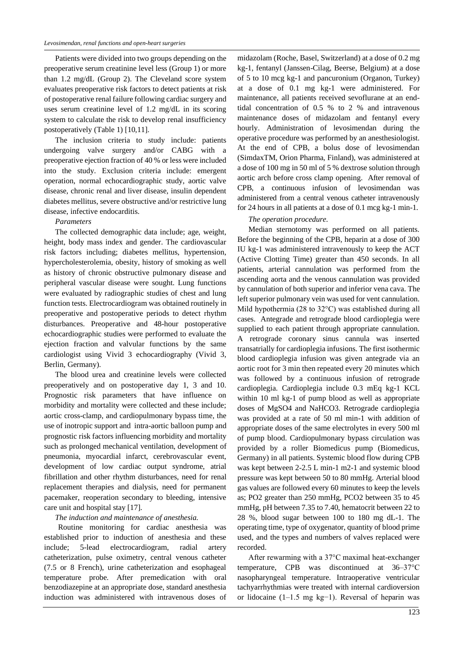Patients were divided into two groups depending on the preoperative serum creatinine level less (Group 1) or more than 1.2 mg/dL (Group 2). The Cleveland score system evaluates preoperative risk factors to detect patients at risk of postoperative renal failure following cardiac surgery and uses serum creatinine level of 1.2 mg/dL in its scoring system to calculate the risk to develop renal insufficiency postoperatively (Table 1) [10,11].

The inclusion criteria to study include: patients undergoing valve surgery and/or CABG with a preoperative ejection fraction of 40 % or less were included into the study. Exclusion criteria include: emergent operation, normal echocardiographic study, aortic valve disease, chronic renal and liver disease, insulin dependent diabetes mellitus, severe obstructive and/or restrictive lung disease, infective endocarditis.

### *Parameters*

The collected demographic data include; age, weight, height, body mass index and gender. The cardiovascular risk factors including; diabetes mellitus, hypertension, hypercholesterolemia, obesity, history of smoking as well as history of chronic obstructive pulmonary disease and peripheral vascular disease were sought. Lung functions were evaluated by radiographic studies of chest and lung function tests. Electrocardiogram was obtained routinely in preoperative and postoperative periods to detect rhythm disturbances. Preoperative and 48-hour postoperative echocardiographic studies were performed to evaluate the ejection fraction and valvular functions by the same cardiologist using Vivid 3 echocardiography (Vivid 3, Berlin, Germany).

The blood urea and creatinine levels were collected preoperatively and on postoperative day 1, 3 and 10. Prognostic risk parameters that have influence on morbidity and mortality were collected and these include; aortic cross-clamp, and cardiopulmonary bypass time, the use of inotropic support and intra-aortic balloon pump and prognostic risk factors influencing morbidity and mortality such as prolonged mechanical ventilation, development of pneumonia, myocardial infarct, cerebrovascular event, development of low cardiac output syndrome, atrial fibrillation and other rhythm disturbances, need for renal replacement therapies and dialysis, need for permanent pacemaker, reoperation secondary to bleeding, intensive care unit and hospital stay [17].

### *The induction and maintenance of anesthesia.*

Routine monitoring for cardiac anesthesia was established prior to induction of anesthesia and these include; 5-lead electrocardiogram, radial artery catheterization, pulse oximetry, central venous catheter (7.5 or 8 French), urine catheterization and esophageal temperature probe. After premedication with oral benzodiazepine at an appropriate dose, standard anesthesia induction was administered with intravenous doses of

midazolam (Roche, Basel, Switzerland) at a dose of 0.2 mg kg-1, fentanyl (Janssen-Cilag, Beerse, Belgium) at a dose of 5 to 10 mcg kg-1 and pancuronium (Organon, Turkey) at a dose of 0.1 mg kg-1 were administered. For maintenance, all patients received sevoflurane at an endtidal concentration of 0.5 % to 2 % and intravenous maintenance doses of midazolam and fentanyl every hourly. Administration of levosimendan during the operative procedure was performed by an anesthesiologist. At the end of CPB, a bolus dose of levosimendan (SimdaxTM, Orion Pharma, Finland), was administered at a dose of 100 mg in 50 ml of 5 % dextrose solution through aortic arch before cross clamp opening. After removal of CPB, a continuous infusion of levosimendan was administered from a central venous catheter intravenously for 24 hours in all patients at a dose of 0.1 mcg kg-1 min-1.

### *The operation procedure.*

Median sternotomy was performed on all patients. Before the beginning of the CPB, heparin at a dose of 300 IU kg-1 was administered intravenously to keep the ACT (Active Clotting Time) greater than 450 seconds. In all patients, arterial cannulation was performed from the ascending aorta and the venous cannulation was provided by cannulation of both superior and inferior vena cava. The left superior pulmonary vein was used for vent cannulation. Mild hypothermia (28 to 32°C) was established during all cases. Antegrade and retrograde blood cardioplegia were supplied to each patient through appropriate cannulation. A retrograde coronary sinus cannula was inserted transatrially for cardioplegia infusions. The first isothermic blood cardioplegia infusion was given antegrade via an aortic root for 3 min then repeated every 20 minutes which was followed by a continuous infusion of retrograde cardioplegia. Cardioplegia include 0.3 mEq kg-1 KCL within 10 ml kg-1 of pump blood as well as appropriate doses of MgSO4 and NaHCO3. Retrograde cardioplegia was provided at a rate of 50 ml min-1 with addition of appropriate doses of the same electrolytes in every 500 ml of pump blood. Cardiopulmonary bypass circulation was provided by a roller Biomedicus pump (Biomedicus, Germany) in all patients. Systemic blood flow during CPB was kept between 2-2.5 L min-1 m2-1 and systemic blood pressure was kept between 50 to 80 mmHg. Arterial blood gas values are followed every 60 minutes to keep the levels as; PO2 greater than 250 mmHg, PCO2 between 35 to 45 mmHg, pH between 7.35 to 7.40, hematocrit between 22 to 28 %, blood sugar between 100 to 180 mg dL-1. The operating time, type of oxygenator, quantity of blood prime used, and the types and numbers of valves replaced were recorded.

After rewarming with a 37°C maximal heat-exchanger temperature, CPB was discontinued at 36–37°C nasopharyngeal temperature. Intraoperative ventricular tachyarrhythmias were treated with internal cardioversion or lidocaine (1–1.5 mg kg−1). Reversal of heparin was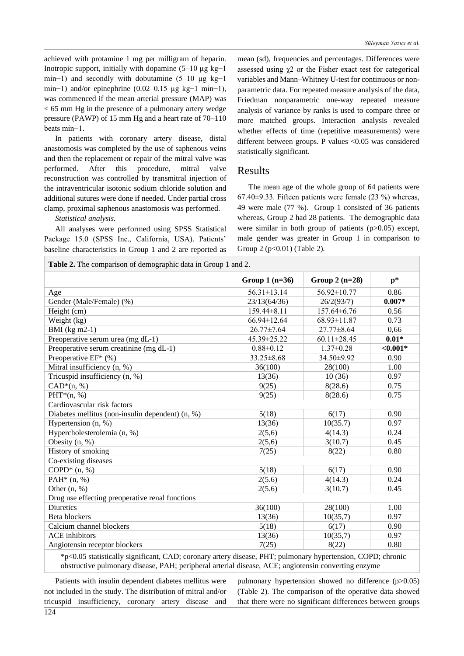achieved with protamine 1 mg per milligram of heparin. Inotropic support, initially with dopamine  $(5-10 \mu g kg-1)$ min−1) and secondly with dobutamine  $(5-10 \text{ µg kg}-1)$ min−1) and/or epinephrine  $(0.02-0.15 \text{ µg kg} - 1 \text{ min} - 1)$ , was commenced if the mean arterial pressure (MAP) was < 65 mm Hg in the presence of a pulmonary artery wedge pressure (PAWP) of 15 mm Hg and a heart rate of 70–110 beats min−1.

In patients with coronary artery disease, distal anastomosis was completed by the use of saphenous veins and then the replacement or repair of the mitral valve was performed. After this procedure, mitral valve reconstruction was controlled by transmitral injection of the intraventricular isotonic sodium chloride solution and additional sutures were done if needed. Under partial cross clamp, proximal saphenous anastomosis was performed.

*Statistical analysis.*

All analyses were performed using SPSS Statistical Package 15.0 (SPSS Inc., California, USA). Patients' baseline characteristics in Group 1 and 2 are reported as

mean (sd), frequencies and percentages. Differences were assessed using  $\chi$ 2 or the Fisher exact test for categorical variables and Mann–Whitney U-test for continuous or nonparametric data. For repeated measure analysis of the data, Friedman nonparametric one-way repeated measure analysis of variance by ranks is used to compare three or more matched groups. Interaction analysis revealed whether effects of time (repetitive measurements) were different between groups. P values <0.05 was considered statistically significant.

### Results

The mean age of the whole group of 64 patients were 67.40 $\pm$ 9.33. Fifteen patients were female (23 %) whereas, 49 were male (77 %). Group 1 consisted of 36 patients whereas, Group 2 had 28 patients. The demographic data were similar in both group of patients (p>0.05) except, male gender was greater in Group 1 in comparison to Group 2 (p<0.01) (Table 2).

| Table 2. The comparison of demographic data in Group 1 and 2.                                                                                                   |                   |                   |             |
|-----------------------------------------------------------------------------------------------------------------------------------------------------------------|-------------------|-------------------|-------------|
|                                                                                                                                                                 | Group $1(n=36)$   | Group $2(n=28)$   | $p*$        |
| Age                                                                                                                                                             | $56.31 \pm 13.14$ | 56.92±10.77       | 0.86        |
| Gender (Male/Female) (%)                                                                                                                                        | 23/13(64/36)      | 26/2(93/7)        | $0.007*$    |
| Height (cm)                                                                                                                                                     | 159.44±8.11       | 157.64±6.76       | 0.56        |
| Weight (kg)                                                                                                                                                     | $66.94 \pm 12.64$ | $68.93 \pm 11.87$ | 0.73        |
| BMI $(kg m2-1)$                                                                                                                                                 | $26.77 \pm 7.64$  | $27.77 \pm 8.64$  | 0,66        |
| Preoperative serum urea (mg dL-1)                                                                                                                               | 45.39±25.22       | $60.11 \pm 28.45$ | $0.01*$     |
| Preoperative serum creatinine (mg dL-1)                                                                                                                         | $0.88 \pm 0.12$   | $1.37 \pm 0.28$   | ${<}0.001*$ |
| Preoperative $EF^*(\%)$                                                                                                                                         | $33.25 \pm 8.68$  | 34.50±9.92        | 0.90        |
| Mitral insufficiency (n, %)                                                                                                                                     | 36(100)           | 28(100)           | 1.00        |
| Tricuspid insufficiency (n, %)                                                                                                                                  | 13(36)            | 10(36)            | 0.97        |
| $CAD*(n, %)$                                                                                                                                                    | 9(25)             | 8(28.6)           | 0.75        |
| $PHT*(n, %)$                                                                                                                                                    | 9(25)             | 8(28.6)           | 0.75        |
| Cardiovascular risk factors                                                                                                                                     |                   |                   |             |
| Diabetes mellitus (non-insulin dependent) (n, %)                                                                                                                | 5(18)             | 6(17)             | 0.90        |
| Hypertension (n, %)                                                                                                                                             | 13(36)            | 10(35.7)          | 0.97        |
| Hypercholesterolemia (n, %)                                                                                                                                     | 2(5,6)            | 4(14.3)           | 0.24        |
| Obesity $(n, %)$                                                                                                                                                | 2(5,6)            | 3(10.7)           | 0.45        |
| History of smoking                                                                                                                                              | 7(25)             | 8(22)             | 0.80        |
| Co-existing diseases                                                                                                                                            |                   |                   |             |
| COPD* $(n, %)$                                                                                                                                                  | 5(18)             | 6(17)             | 0.90        |
| PAH $*$ (n, %)                                                                                                                                                  | 2(5.6)            | 4(14.3)           | 0.24        |
| Other $(n, %)$                                                                                                                                                  | 2(5.6)            | 3(10.7)           | 0.45        |
| Drug use effecting preoperative renal functions                                                                                                                 |                   |                   |             |
| Diuretics                                                                                                                                                       | 36(100)           | 28(100)           | 1.00        |
| Beta blockers                                                                                                                                                   | 13(36)            | 10(35,7)          | 0.97        |
| Calcium channel blockers                                                                                                                                        | 5(18)             | 6(17)             | 0.90        |
| <b>ACE</b> inhibitors                                                                                                                                           | 13(36)            | 10(35,7)          | 0.97        |
| Angiotensin receptor blockers<br>$*_{\alpha}$ of a statistically cignificant $CAD$ coronary externe diagonal DHT, submanage by perturbation $CODD$ , absorption | 7(25)             | 8(22)             | 0.80        |

\*p<0.05 statistically significant, CAD; coronary artery disease, PHT; pulmonary hypertension, COPD; chronic obstructive pulmonary disease, PAH; peripheral arterial disease, ACE; angiotensin converting enzyme

Patients with insulin dependent diabetes mellitus were not included in the study. The distribution of mitral and/or tricuspid insufficiency, coronary artery disease and

pulmonary hypertension showed no difference (p>0.05) (Table 2). The comparison of the operative data showed that there were no significant differences between groups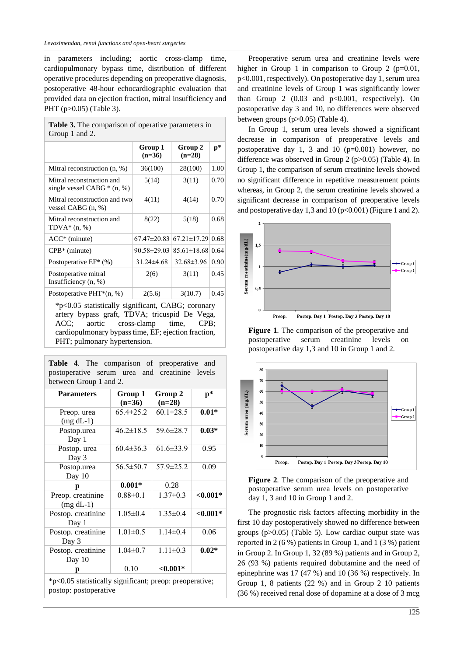in parameters including; aortic cross-clamp time, cardiopulmonary bypass time, distribution of different operative procedures depending on preoperative diagnosis, postoperative 48-hour echocardiographic evaluation that provided data on ejection fraction, mitral insufficiency and PHT (p>0.05) (Table 3).

| <b>Table 3.</b> The comparison of operative parameters in |
|-----------------------------------------------------------|
| Group 1 and 2.                                            |

|                                                           | Group 1<br>$(n=36)$ | Group 2<br>$(n=28)$                 | $\mathbf{p}^*$ |
|-----------------------------------------------------------|---------------------|-------------------------------------|----------------|
| Mitral reconstruction (n, %)                              | 36(100)             | 28(100)                             | 1.00           |
| Mitral reconstruction and<br>single vessel CABG $*(n, %)$ | 5(14)               | 3(11)                               | 0.70           |
| Mitral reconstruction and two<br>vessel CABG $(n, %)$     | 4(11)               | 4(14)                               | 0.70           |
| Mitral reconstruction and<br>$TDVA*(n, %)$                | 8(22)               | 5(18)                               | 0.68           |
| $ACC^*$ (minute)                                          | $67.47 \pm 20.83$   | $67.21 \pm 17.29$                   | 0.68           |
| $CPB*$ (minute)                                           |                     | $90.58 \pm 29.03$ $85.61 \pm 18.68$ | 0.64           |
| Postoperative $EF^*(\%)$                                  | $31.24\pm4.68$      | $32.68 \pm 3.96$                    | 0.90           |
| Postoperative mitral<br>Insufficiency (n, %)              | 2(6)                | 3(11)                               | 0.45           |
| Postoperative PHT $*(n, %)$                               | 2(5.6)              | 3(10.7)                             | 0.45           |

\*p<0.05 statistically significant, CABG; coronary artery bypass graft, TDVA; tricuspid De Vega, ACC; aortic cross-clamp time, CPB; cardiopulmonary bypass time, EF; ejection fraction, PHT; pulmonary hypertension.

**Table 4**. The comparison of preoperative and postoperative serum urea and creatinine levels between Group 1 and 2.

| <b>Parameters</b>                                                                | Group 1<br>$(n=36)$ | Group 2<br>$(n=28)$ | $\mathbf{p}^*$ |
|----------------------------------------------------------------------------------|---------------------|---------------------|----------------|
| Preop. urea<br>$(mg dL-1)$                                                       | $65.4 \pm 25.2$     | $60.1 \pm 28.5$     | $0.01*$        |
| Postop.urea<br>Day 1                                                             | $46.2 \pm 18.5$     | $59.6 \pm 28.7$     | $0.03*$        |
| Postop. urea<br>Day 3                                                            | $60.4 \pm 36.3$     | $61.6 \pm 33.9$     | 0.95           |
| Postop.urea<br>Day 10                                                            | $56.5 \pm 50.7$     | $57.9 \pm 25.2$     | 0.09           |
| p                                                                                | $0.001*$            | 0.28                |                |
| Preop. creatinine<br>$(mg dL-1)$                                                 | $0.88 \pm 0.1$      | $1.37 \pm 0.3$      | ${<}0.001*$    |
| Postop. creatinine<br>Day 1                                                      | $1.05 \pm 0.4$      | $1.35 \pm 0.4$      | ${<}0.001*$    |
| Postop. creatinine<br>Day 3                                                      | $1.01 \pm 0.5$      | $1.14 \pm 0.4$      | 0.06           |
| Postop. creatinine<br>Day 10                                                     | $1.04 \pm 0.7$      | $1.11 \pm 0.3$      | $0.02*$        |
| р                                                                                | 0.10                | $< 0.001*$          |                |
| *p<0.05 statistically significant; preop: preoperative;<br>postop: postoperative |                     |                     |                |

Preoperative serum urea and creatinine levels were higher in Group 1 in comparison to Group 2  $(p=0.01,$ p<0.001, respectively). On postoperative day 1, serum urea and creatinine levels of Group 1 was significantly lower than Group 2  $(0.03 \text{ and } p<0.001, \text{ respectively})$ . On postoperative day 3 and 10, no differences were observed between groups (p>0.05) (Table 4).

In Group 1, serum urea levels showed a significant decrease in comparison of preoperative levels and postoperative day 1, 3 and 10  $(p=0.001)$  however, no difference was observed in Group 2 (p>0.05) (Table 4). In Group 1, the comparison of serum creatinine levels showed no significant difference in repetitive measurement points whereas, in Group 2, the serum creatinine levels showed a significant decrease in comparison of preoperative levels and postoperative day 1,3 and 10 ( $p<0.001$ ) (Figure 1 and 2).



**Figure 1**. The comparison of the preoperative and postoperative serum creatinine levels on postoperative day 1,3 and 10 in Group 1 and 2.



**Figure 2**. The comparison of the preoperative and postoperative serum urea levels on postoperative day 1, 3 and 10 in Group 1 and 2.

The prognostic risk factors affecting morbidity in the first 10 day postoperatively showed no difference between groups (p>0.05) (Table 5). Low cardiac output state was reported in 2 (6 %) patients in Group 1, and 1 (3 %) patient in Group 2. In Group 1, 32 (89 %) patients and in Group 2, 26 (93 %) patients required dobutamine and the need of epinephrine was 17 (47 %) and 10 (36 %) respectively. In Group 1, 8 patients (22 %) and in Group 2 10 patients (36 %) received renal dose of dopamine at a dose of 3 mcg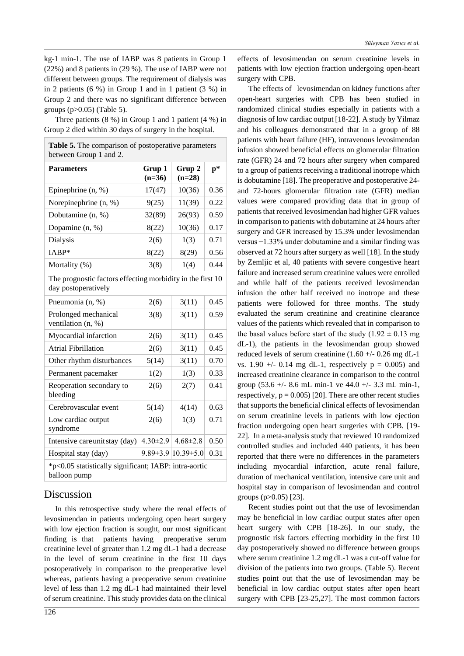kg-1 min-1. The use of IABP was 8 patients in Group 1 (22%) and 8 patients in (29 %). The use of IABP were not different between groups. The requirement of dialysis was in 2 patients (6 %) in Group 1 and in 1 patient (3 %) in Group 2 and there was no significant difference between groups (p>0.05) (Table 5).

Three patients (8 %) in Group 1 and 1 patient (4 %) in Group 2 died within 30 days of surgery in the hospital.

| <b>Parameters</b>                                                                 | Grup 1<br>$(n=36)$ | Grup 2<br>$(n=28)$           | $p*$ |
|-----------------------------------------------------------------------------------|--------------------|------------------------------|------|
| Epinephrine $(n, %)$                                                              | 17(47)             | 10(36)                       | 0.36 |
| Norepinephrine (n, %)                                                             | 9(25)              | 11(39)                       | 0.22 |
| Dobutamine (n, %)                                                                 | 32(89)             | 26(93)                       | 0.59 |
| Dopamine (n, %)                                                                   | 8(22)              | 10(36)                       | 0.17 |
| Dialysis                                                                          | 2(6)               | 1(3)                         | 0.71 |
| IABP*                                                                             | 8(22)              | 8(29)                        | 0.56 |
| Mortality (%)                                                                     | 3(8)               | 1(4)                         | 0.44 |
| The prognostic factors effecting morbidity in the first 10<br>day postoperatively |                    |                              |      |
| Pneumonia (n, %)                                                                  | 2(6)               | 3(11)                        | 0.45 |
| Prolonged mechanical<br>ventilation (n, %)                                        | 3(8)               | 3(11)                        | 0.59 |
| Myocardial infarction                                                             | 2(6)               | 3(11)                        | 0.45 |
| <b>Atrial Fibrillation</b>                                                        | 2(6)               | 3(11)                        | 0.45 |
| Other rhythm disturbances                                                         | 5(14)              | 3(11)                        | 0.70 |
| Permanent pacemaker                                                               | 1(2)               | 1(3)                         | 0.33 |
| Reoperation secondary to<br>bleeding                                              | 2(6)               | 2(7)                         | 0.41 |
| Cerebrovascular event                                                             | 5(14)              | 4(14)                        | 0.63 |
| Low cardiac output<br>syndrome                                                    | 2(6)               | 1(3)                         | 0.71 |
| Intensive careunitstay (day)                                                      | $4.30 \pm 2.9$     | $4.68 \pm 2.8$               | 0.50 |
| Hospital stay (day)                                                               |                    | $9.89\pm3.9$   $10.39\pm5.0$ | 0.31 |

## Discussion

In this retrospective study where the renal effects of levosimendan in patients undergoing open heart surgery with low ejection fraction is sought, our most significant finding is that patients having preoperative serum creatinine level of greater than 1.2 mg dL-1 had a decrease in the level of serum creatinine in the first 10 days postoperatively in comparison to the preoperative level whereas, patients having a preoperative serum creatinine level of less than 1.2 mg dL-1 had maintained their level of serum creatinine. This study provides data on the clinical effects of levosimendan on serum creatinine levels in patients with low ejection fraction undergoing open-heart surgery with CPB.

The effects of levosimendan on kidney functions after open-heart surgeries with CPB has been studied in randomized clinical studies especially in patients with a diagnosis of low cardiac output [18-22]. A study by Yilmaz and his colleagues demonstrated that in a group of 88 patients with heart failure (HF), intravenous levosimendan infusion showed beneficial effects on glomerular filtration rate (GFR) 24 and 72 hours after surgery when compared to a group of patients receiving a traditional inotrope which is dobutamine [18]. The preoperative and postoperative 24 and 72-hours glomerular filtration rate (GFR) median values were compared providing data that in group of patients that received levosimendan had higher GFR values in comparison to patients with dobutamine at 24 hours after surgery and GFR increased by 15.3% under levosimendan versus −1.33% under dobutamine and a similar finding was observed at 72 hours after surgery as well [18]. In the study by Zemljic et al, 40 patients with severe congestive heart failure and increased serum creatinine values were enrolled and while half of the patients received levosimendan infusion the other half received no inotrope and these patients were followed for three months. The study evaluated the serum creatinine and creatinine clearance values of the patients which revealed that in comparison to the basal values before start of the study  $(1.92 \pm 0.13 \text{ mg})$ dL-1), the patients in the levosimendan group showed reduced levels of serum creatinine  $(1.60 +/- 0.26$  mg dL-1 vs. 1.90 +/- 0.14 mg dL-1, respectively  $p = 0.005$ ) and increased creatinine clearance in comparison to the control group (53.6 +/- 8.6 mL min-1 ve 44.0 +/- 3.3 mL min-1, respectively,  $p = 0.005$  [20]. There are other recent studies that supports the beneficial clinical effects of levosimendan on serum creatinine levels in patients with low ejection fraction undergoing open heart surgeries with CPB. [19- 22]. In a meta-analysis study that reviewed 10 randomized controlled studies and included 440 patients, it has been reported that there were no differences in the parameters including myocardial infarction, acute renal failure, duration of mechanical ventilation, intensive care unit and hospital stay in comparison of levosimendan and control groups (p>0.05) [23].

Recent studies point out that the use of levosimendan may be beneficial in low cardiac output states after open heart surgery with CPB [18-26]. In our study, the prognostic risk factors effecting morbidity in the first 10 day postoperatively showed no difference between groups where serum creatinine 1.2 mg dL-1 was a cut-off value for division of the patients into two groups. (Table 5). Recent studies point out that the use of levosimendan may be beneficial in low cardiac output states after open heart surgery with CPB [23-25,27]. The most common factors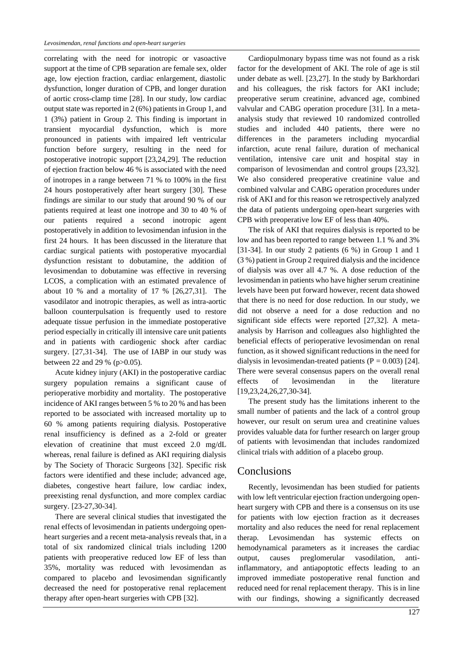correlating with the need for inotropic or vasoactive support at the time of CPB separation are female sex, older age, low ejection fraction, cardiac enlargement, diastolic dysfunction, longer duration of CPB, and longer duration of aortic cross-clamp time [28]. In our study, low cardiac output state was reported in 2 (6%) patients in Group 1, and 1 (3%) patient in Group 2. This finding is important in transient myocardial dysfunction, which is more pronounced in patients with impaired left ventricular function before surgery, resulting in the need for postoperative inotropic support [23,24,29]. The reduction of ejection fraction below 46 % is associated with the need of inotropes in a range between 71 % to 100% in the first 24 hours postoperatively after heart surgery [30]. These findings are similar to our study that around 90 % of our patients required at least one inotrope and 30 to 40 % of our patients required a second inotropic agent postoperatively in addition to levosimendan infusion in the first 24 hours. It has been discussed in the literature that cardiac surgical patients with postoperative myocardial dysfunction resistant to dobutamine, the addition of levosimendan to dobutamine was effective in reversing LCOS, a complication with an estimated prevalence of about 10 % and a mortality of 17 % [26,27,31]. The vasodilator and inotropic therapies, as well as intra-aortic balloon counterpulsation is frequently used to restore adequate tissue perfusion in the immediate postoperative period especially in critically ill intensive care unit patients and in patients with cardiogenic shock after cardiac surgery. [27,31-34]. The use of IABP in our study was between 22 and 29 % (p>0.05).

Acute kidney injury (AKI) in the postoperative cardiac surgery population remains a significant cause of perioperative morbidity and mortality. The postoperative incidence of AKI ranges between 5 % to 20 % and has been reported to be associated with increased mortality up to 60 % among patients requiring dialysis. Postoperative renal insufficiency is defined as a 2-fold or greater elevation of creatinine that must exceed 2.0 mg/dL whereas, renal failure is defined as AKI requiring dialysis by The Society of Thoracic Surgeons [32]. Specific risk factors were identified and these include; advanced age, diabetes, congestive heart failure, low cardiac index, preexisting renal dysfunction, and more complex cardiac surgery. [23-27,30-34].

There are several clinical studies that investigated the renal effects of levosimendan in patients undergoing openheart surgeries and a recent meta-analysis reveals that, in a total of six randomized clinical trials including 1200 patients with preoperative reduced low EF of less than 35%, mortality was reduced with levosimendan as compared to placebo and levosimendan significantly decreased the need for postoperative renal replacement therapy after open-heart surgeries with CPB [32].

Cardiopulmonary bypass time was not found as a risk factor for the development of AKI. The role of age is stil under debate as well. [23,27]. In the study by Barkhordari and his colleagues, the risk factors for AKI include; preoperative serum creatinine, advanced age, combined valvular and CABG operation procedure [31]. In a metaanalysis study that reviewed 10 randomized controlled studies and included 440 patients, there were no differences in the parameters including myocardial infarction, acute renal failure, duration of mechanical ventilation, intensive care unit and hospital stay in comparison of levosimendan and control groups [23,32]. We also considered preoperative creatinine value and combined valvular and CABG operation procedures under risk of AKI and for this reason we retrospectively analyzed the data of patients undergoing open-heart surgeries with CPB with preoperative low EF of less than 40%.

The risk of AKI that requires dialysis is reported to be low and has been reported to range between 1.1 % and 3% [31-34]. In our study 2 patients (6 %) in Group 1 and 1 (3 %) patient in Group 2 required dialysis and the incidence of dialysis was over all 4.7 %. A dose reduction of the levosimendan in patients who have higher serum creatinine levels have been put forward however, recent data showed that there is no need for dose reduction. In our study, we did not observe a need for a dose reduction and no significant side effects were reported [27,32]. A metaanalysis by Harrison and colleagues also highlighted the beneficial effects of perioperative levosimendan on renal function, as it showed significant reductions in the need for dialysis in levosimendan-treated patients ( $P = 0.003$ ) [24]. There were several consensus papers on the overall renal effects of levosimendan in the literature [19,23,24,26,27,30-34].

The present study has the limitations inherent to the small number of patients and the lack of a control group however, our result on serum urea and creatinine values provides valuable data for further research on larger group of patients with levosimendan that includes randomized clinical trials with addition of a placebo group.

## **Conclusions**

Recently, levosimendan has been studied for patients with low left ventricular ejection fraction undergoing openheart surgery with CPB and there is a consensus on its use for patients with low ejection fraction as it decreases mortality and also reduces the need for renal replacement therap. Levosimendan has systemic effects on hemodynamical parameters as it increases the cardiac output, causes preglomerular vasodilation, antiinflammatory, and antiapoptotic effects leading to an improved immediate postoperative renal function and reduced need for renal replacement therapy. This is in line with our findings, showing a significantly decreased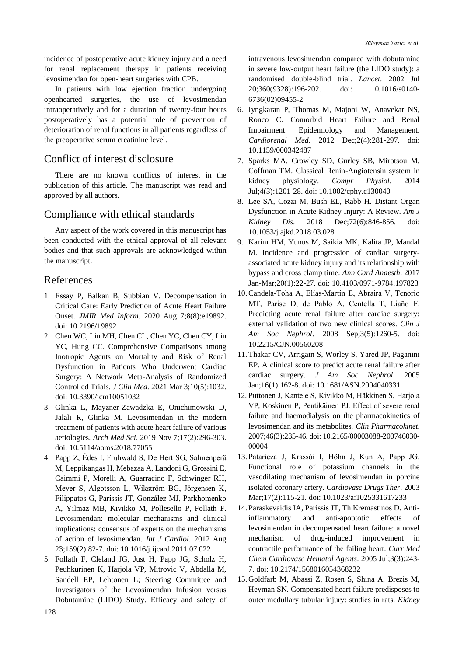incidence of postoperative acute kidney injury and a need for renal replacement therapy in patients receiving levosimendan for open-heart surgeries with CPB.

In patients with low ejection fraction undergoing openhearted surgeries, the use of levosimendan intraoperatively and for a duration of twenty-four hours postoperatively has a potential role of prevention of deterioration of renal functions in all patients regardless of the preoperative serum creatinine level.

# Conflict of interest disclosure

There are no known conflicts of interest in the publication of this article. The manuscript was read and approved by all authors.

## Compliance with ethical standards

Any aspect of the work covered in this manuscript has been conducted with the ethical approval of all relevant bodies and that such approvals are acknowledged within the manuscript.

## References

- 1. Essay P, Balkan B, Subbian V. Decompensation in Critical Care: Early Prediction of Acute Heart Failure Onset. *JMIR Med Inform*. 2020 Aug 7;8(8):e19892. doi: 10.2196/19892
- 2. Chen WC, Lin MH, Chen CL, Chen YC, Chen CY, Lin YC, Hung CC. Comprehensive Comparisons among Inotropic Agents on Mortality and Risk of Renal Dysfunction in Patients Who Underwent Cardiac Surgery: A Network Meta-Analysis of Randomized Controlled Trials. *J Clin Med*. 2021 Mar 3;10(5):1032. doi: 10.3390/jcm10051032
- 3. Glinka L, Mayzner-Zawadzka E, Onichimowski D, Jalali R, Glinka M. Levosimendan in the modern treatment of patients with acute heart failure of various aetiologies. *Arch Med Sci*. 2019 Nov 7;17(2):296-303. doi: 10.5114/aoms.2018.77055
- 4. Papp Z, Édes I, Fruhwald S, De Hert SG, Salmenperä M, Leppikangas H, Mebazaa A, Landoni G, Grossini E, Caimmi P, Morelli A, Guarracino F, Schwinger RH, Meyer S, Algotsson L, Wikström BG, Jörgensen K, Filippatos G, Parissis JT, González MJ, Parkhomenko A, Yilmaz MB, Kivikko M, Pollesello P, Follath F. Levosimendan: molecular mechanisms and clinical implications: consensus of experts on the mechanisms of action of levosimendan. *Int J Cardiol*. 2012 Aug 23;159(2):82-7. doi: 10.1016/j.ijcard.2011.07.022
- 5. Follath F, Cleland JG, Just H, Papp JG, Scholz H, Peuhkurinen K, Harjola VP, Mitrovic V, Abdalla M, Sandell EP, Lehtonen L; Steering Committee and Investigators of the Levosimendan Infusion versus Dobutamine (LIDO) Study. Efficacy and safety of

intravenous levosimendan compared with dobutamine in severe low-output heart failure (the LIDO study): a randomised double-blind trial. *Lancet*. 2002 Jul 20;360(9328):196-202. doi: 10.1016/s0140- 6736(02)09455-2

- 6. Iyngkaran P, Thomas M, Majoni W, Anavekar NS, Ronco C. Comorbid Heart Failure and Renal Impairment: Epidemiology and Management. *Cardiorenal Med*. 2012 Dec;2(4):281-297. doi: 10.1159/000342487
- 7. Sparks MA, Crowley SD, Gurley SB, Mirotsou M, Coffman TM. Classical Renin-Angiotensin system in kidney physiology. *Compr Physiol*. 2014 Jul;4(3):1201-28. doi: 10.1002/cphy.c130040
- 8. Lee SA, Cozzi M, Bush EL, Rabb H. Distant Organ Dysfunction in Acute Kidney Injury: A Review. *Am J Kidney Dis*. 2018 Dec;72(6):846-856. doi: 10.1053/j.ajkd.2018.03.028
- 9. Karim HM, Yunus M, Saikia MK, Kalita JP, Mandal M. Incidence and progression of cardiac surgeryassociated acute kidney injury and its relationship with bypass and cross clamp time. *Ann Card Anaesth*. 2017 Jan-Mar;20(1):22-27. doi: 10.4103/0971-9784.197823
- 10. Candela-Toha A, Elías-Martín E, Abraira V, Tenorio MT, Parise D, de Pablo A, Centella T, Liaño F. Predicting acute renal failure after cardiac surgery: external validation of two new clinical scores. *Clin J Am Soc Nephrol*. 2008 Sep;3(5):1260-5. doi: 10.2215/CJN.00560208
- 11. Thakar CV, Arrigain S, Worley S, Yared JP, Paganini EP. A clinical score to predict acute renal failure after cardiac surgery. *J Am Soc Nephrol*. 2005 Jan;16(1):162-8. doi: 10.1681/ASN.2004040331
- 12. Puttonen J, Kantele S, Kivikko M, Häkkinen S, Harjola VP, Koskinen P, Pentikäinen PJ. Effect of severe renal failure and haemodialysis on the pharmacokinetics of levosimendan and its metabolites. *Clin Pharmacokinet*. 2007;46(3):235-46. doi: 10.2165/00003088-200746030- 00004
- 13.Pataricza J, Krassói I, Höhn J, Kun A, Papp JG. Functional role of potassium channels in the vasodilating mechanism of levosimendan in porcine isolated coronary artery. *Cardiovasc Drugs Ther*. 2003 Mar;17(2):115-21. doi: 10.1023/a:1025331617233
- 14.Paraskevaidis IA, Parissis JT, Th Kremastinos D. Antiinflammatory and anti-apoptotic effects of levosimendan in decompensated heart failure: a novel mechanism of drug-induced improvement in contractile performance of the failing heart. *Curr Med Chem Cardiovasc Hematol Agents*. 2005 Jul;3(3):243- 7. doi: 10.2174/1568016054368232
- 15. Goldfarb M, Abassi Z, Rosen S, Shina A, Brezis M, Heyman SN. Compensated heart failure predisposes to outer medullary tubular injury: studies in rats. *Kidney*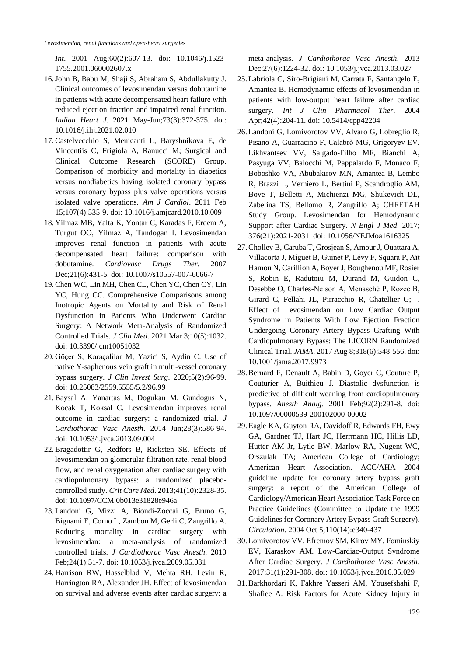*Int*. 2001 Aug;60(2):607-13. doi: 10.1046/j.1523- 1755.2001.060002607.x

- 16.John B, Babu M, Shaji S, Abraham S, Abdullakutty J. Clinical outcomes of levosimendan versus dobutamine in patients with acute decompensated heart failure with reduced ejection fraction and impaired renal function. *Indian Heart J*. 2021 May-Jun;73(3):372-375. doi: 10.1016/j.ihj.2021.02.010
- 17. Castelvecchio S, Menicanti L, Baryshnikova E, de Vincentiis C, Frigiola A, Ranucci M; Surgical and Clinical Outcome Research (SCORE) Group. Comparison of morbidity and mortality in diabetics versus nondiabetics having isolated coronary bypass versus coronary bypass plus valve operations versus isolated valve operations. *Am J Cardiol*. 2011 Feb 15;107(4):535-9. doi: 10.1016/j.amjcard.2010.10.009
- 18. Yilmaz MB, Yalta K, Yontar C, Karadas F, Erdem A, Turgut OO, Yilmaz A, Tandogan I. Levosimendan improves renal function in patients with acute decompensated heart failure: comparison with dobutamine. *Cardiovasc Drugs Ther*. 2007 Dec;21(6):431-5. doi: 10.1007/s10557-007-6066-7
- 19. Chen WC, Lin MH, Chen CL, Chen YC, Chen CY, Lin YC, Hung CC. Comprehensive Comparisons among Inotropic Agents on Mortality and Risk of Renal Dysfunction in Patients Who Underwent Cardiac Surgery: A Network Meta-Analysis of Randomized Controlled Trials. *J Clin Med*. 2021 Mar 3;10(5):1032. doi: 10.3390/jcm10051032
- 20. Göçer S, Karaçalilar M, Yazici S, Aydin C. Use of native Y-saphenous vein graft in multi-vessel coronary bypass surgery. *J Clin Invest Surg*. 2020;5(2):96-99. doi: 10.25083/2559.5555/5.2/96.99
- 21. Baysal A, Yanartas M, Dogukan M, Gundogus N, Kocak T, Koksal C. Levosimendan improves renal outcome in cardiac surgery: a randomized trial. *J Cardiothorac Vasc Anesth*. 2014 Jun;28(3):586-94. doi: 10.1053/j.jvca.2013.09.004
- 22. Bragadottir G, Redfors B, Ricksten SE. Effects of levosimendan on glomerular filtration rate, renal blood flow, and renal oxygenation after cardiac surgery with cardiopulmonary bypass: a randomized placebocontrolled study. *Crit Care Med*. 2013;41(10):2328-35. doi: 10.1097/CCM.0b013e31828e946a
- 23. Landoni G, Mizzi A, Biondi-Zoccai G, Bruno G, Bignami E, Corno L, Zambon M, Gerli C, Zangrillo A. Reducing mortality in cardiac surgery with levosimendan: a meta-analysis of randomized controlled trials. *J Cardiothorac Vasc Anesth*. 2010 Feb;24(1):51-7. doi: 10.1053/j.jvca.2009.05.031
- 24. Harrison RW, Hasselblad V, Mehta RH, Levin R, Harrington RA, Alexander JH. Effect of levosimendan on survival and adverse events after cardiac surgery: a

meta-analysis. *J Cardiothorac Vasc Anesth*. 2013 Dec;27(6):1224-32. doi: 10.1053/j.jvca.2013.03.027

- 25. Labriola C, Siro-Brigiani M, Carrata F, Santangelo E, Amantea B. Hemodynamic effects of levosimendan in patients with low-output heart failure after cardiac surgery. *Int J Clin Pharmacol Ther*. 2004 Apr;42(4):204-11. doi: 10.5414/cpp42204
- 26. Landoni G, Lomivorotov VV, Alvaro G, Lobreglio R, Pisano A, Guarracino F, Calabrò MG, Grigoryev EV, Likhvantsev VV, Salgado-Filho MF, Bianchi A, Pasyuga VV, Baiocchi M, Pappalardo F, Monaco F, Boboshko VA, Abubakirov MN, Amantea B, Lembo R, Brazzi L, Verniero L, Bertini P, Scandroglio AM, Bove T, Belletti A, Michienzi MG, Shukevich DL, Zabelina TS, Bellomo R, Zangrillo A; CHEETAH Study Group. Levosimendan for Hemodynamic Support after Cardiac Surgery. *N Engl J Med*. 2017; 376(21):2021-2031. doi: 10.1056/NEJMoa1616325
- 27. Cholley B, Caruba T, Grosjean S, Amour J, Ouattara A, Villacorta J, Miguet B, Guinet P, Lévy F, Squara P, Aït Hamou N, Carillion A, Boyer J, Boughenou MF, Rosier S, Robin E, Radutoiu M, Durand M, Guidon C, Desebbe O, Charles-Nelson A, Menasché P, Rozec B, Girard C, Fellahi JL, Pirracchio R, Chatellier G; -. Effect of Levosimendan on Low Cardiac Output Syndrome in Patients With Low Ejection Fraction Undergoing Coronary Artery Bypass Grafting With Cardiopulmonary Bypass: The LICORN Randomized Clinical Trial. *JAMA*. 2017 Aug 8;318(6):548-556. doi: 10.1001/jama.2017.9973
- 28. Bernard F, Denault A, Babin D, Goyer C, Couture P, Couturier A, Buithieu J. Diastolic dysfunction is predictive of difficult weaning from cardiopulmonary bypass. *Anesth Analg*. 2001 Feb;92(2):291-8. doi: 10.1097/00000539-200102000-00002
- 29. Eagle KA, Guyton RA, Davidoff R, Edwards FH, Ewy GA, Gardner TJ, Hart JC, Herrmann HC, Hillis LD, Hutter AM Jr, Lytle BW, Marlow RA, Nugent WC, Orszulak TA; American College of Cardiology; American Heart Association. ACC/AHA 2004 guideline update for coronary artery bypass graft surgery: a report of the American College of Cardiology/American Heart Association Task Force on Practice Guidelines (Committee to Update the 1999 Guidelines for Coronary Artery Bypass Graft Surgery). *Circulation*. 2004 Oct 5;110(14):e340-437
- 30. Lomivorotov VV, Efremov SM, Kirov MY, Fominskiy EV, Karaskov AM. Low-Cardiac-Output Syndrome After Cardiac Surgery. *J Cardiothorac Vasc Anesth*. 2017;31(1):291-308. doi: 10.1053/j.jvca.2016.05.029
- 31. Barkhordari K, Fakhre Yasseri AM, Yousefshahi F, Shafiee A. Risk Factors for Acute Kidney Injury in